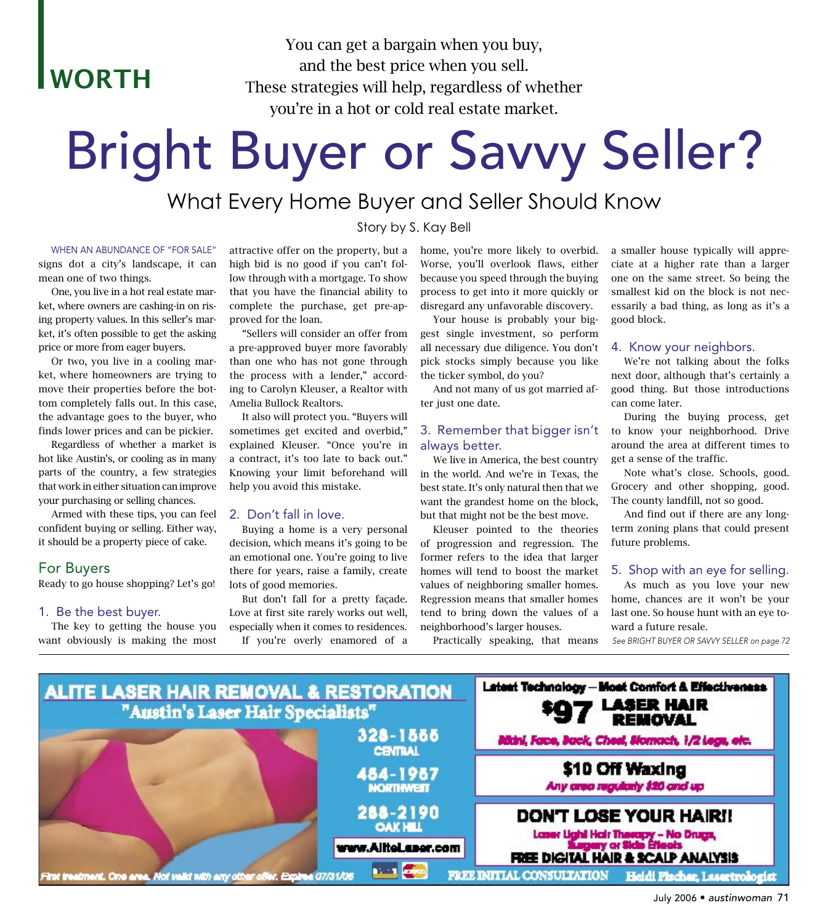**WORTH** 

You can get a bargain when you buy, and the best price when you sell. These strategies will help, regardless of whether you're in a hot or cold real estate market.

# Bright Buyer or Savvy Seller?

# What Every Home Buyer and Seller Should Know

Story by S. Kay Bell

#### WHEN AN ABUNDANCE OF "FOR SALE"

signs dot a city's landscape, it can mean one of two things.

 One, you live in a hot real estate market, where owners are cashing-in on rising property values. In this seller's market, it's often possible to get the asking price or more from eager buyers.

 Or two, you live in a cooling market, where homeowners are trying to move their properties before the bottom completely falls out. In this case, the advantage goes to the buyer, who finds lower prices and can be pickier.

 Regardless of whether a market is hot like Austin's, or cooling as in many parts of the country, a few strategies that work in either situation can improve your purchasing or selling chances.

 Armed with these tips, you can feel confident buying or selling. Either way, it should be a property piece of cake.

## For Buyers

Ready to go house shopping? Let's go!

#### 1. Be the best buyer.

 The key to getting the house you want obviously is making the most

attractive offer on the property, but a high bid is no good if you can't follow through with a mortgage. To show that you have the financial ability to complete the purchase, get pre-approved for the loan.

 "Sellers will consider an offer from a pre-approved buyer more favorably than one who has not gone through the process with a lender," according to Carolyn Kleuser, a Realtor with Amelia Bullock Realtors.

 It also will protect you. "Buyers will sometimes get excited and overbid," explained Kleuser. "Once you're in a contract, it's too late to back out." Knowing your limit beforehand will help you avoid this mistake.

#### 2. Don't fall in love.

 Buying a home is a very personal decision, which means it's going to be an emotional one. You're going to live there for years, raise a family, create lots of good memories.

 But don't fall for a pretty façade. Love at first site rarely works out well, especially when it comes to residences. If you're overly enamored of a

home, you're more likely to overbid. Worse, you'll overlook flaws, either because you speed through the buying process to get into it more quickly or disregard any unfavorable discovery.

 Your house is probably your biggest single investment, so perform all necessary due diligence. You don't pick stocks simply because you like the ticker symbol, do you?

 And not many of us got married after just one date.

#### 3. Remember that bigger isn't always better.

 We live in America, the best country in the world. And we're in Texas, the best state. It's only natural then that we want the grandest home on the block, but that might not be the best move.

 Kleuser pointed to the theories of progression and regression. The former refers to the idea that larger homes will tend to boost the market values of neighboring smaller homes. Regression means that smaller homes tend to bring down the values of a neighborhood's larger houses.

Practically speaking, that means See BRIGHT BUYER OR SAVVY SELLER on page 72

a smaller house typically will appreciate at a higher rate than a larger one on the same street. So being the smallest kid on the block is not necessarily a bad thing, as long as it's a good block.

#### 4. Know your neighbors.

 We're not talking about the folks next door, although that's certainly a good thing. But those introductions can come later.

 During the buying process, get to know your neighborhood. Drive around the area at different times to get a sense of the traffic.

 Note what's close. Schools, good. Grocery and other shopping, good. The county landfill, not so good.

 And find out if there are any longterm zoning plans that could present future problems.

#### 5. Shop with an eye for selling.

 As much as you love your new home, chances are it won't be your last one. So house hunt with an eye toward a future resale.